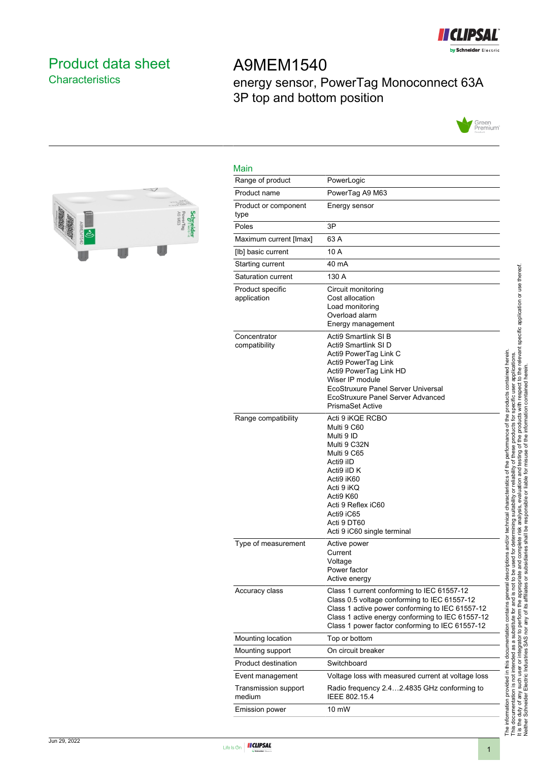

## <span id="page-0-0"></span>Product data sheet **Characteristics**

# A9MEM1540 energy sensor, PowerTag Monoconnect 63A 3P top and bottom position





| Main                            |                                                                                                                                                                                                                                                      |
|---------------------------------|------------------------------------------------------------------------------------------------------------------------------------------------------------------------------------------------------------------------------------------------------|
| Range of product                | PowerLogic                                                                                                                                                                                                                                           |
| Product name                    | PowerTag A9 M63                                                                                                                                                                                                                                      |
| Product or component<br>type    | Energy sensor                                                                                                                                                                                                                                        |
| Poles                           | 3P                                                                                                                                                                                                                                                   |
| Maximum current [Imax]          | 63 A                                                                                                                                                                                                                                                 |
| [lb] basic current              | 10 A                                                                                                                                                                                                                                                 |
| Starting current                | 40 mA                                                                                                                                                                                                                                                |
| Saturation current              | 130 A                                                                                                                                                                                                                                                |
| Product specific<br>application | Circuit monitoring<br>Cost allocation<br>Load monitoring<br>Overload alarm<br>Energy management                                                                                                                                                      |
| Concentrator<br>compatibility   | Acti9 Smartlink SI B<br>Acti9 Smartlink SI D<br>Acti9 PowerTag Link C<br>Acti9 PowerTag Link<br>Acti9 PowerTag Link HD<br>Wiser IP module<br>EcoStruxure Panel Server Universal<br>EcoStruxure Panel Server Advanced<br><b>PrismaSet Active</b>      |
| Range compatibility             | Acti 9 iKQE RCBO<br>Multi 9 C60<br>Multi 9 ID<br>Multi 9 C32N<br>Multi 9 C65<br>Acti9 iID<br>Acti9 iID K<br>Acti9 iK60<br>Acti 9 iKQ<br>Acti9 K60<br>Acti 9 Reflex iC60<br>Acti9 iC65<br>Acti 9 DT60<br>Acti 9 iC60 single terminal                  |
| Type of measurement             | Active power<br>Current<br>Voltage<br>Power factor<br>Active energy                                                                                                                                                                                  |
| Accuracy class                  | Class 1 current conforming to IEC 61557-12<br>Class 0.5 voltage conforming to IEC 61557-12<br>Class 1 active power conforming to IEC 61557-12<br>Class 1 active energy conforming to IEC 61557-12<br>Class 1 power factor conforming to IEC 61557-12 |
| Mounting location               | Top or bottom                                                                                                                                                                                                                                        |
| Mounting support                | On circuit breaker                                                                                                                                                                                                                                   |
| Product destination             | Switchboard                                                                                                                                                                                                                                          |
| Event management                | Voltage loss with measured current at voltage loss                                                                                                                                                                                                   |
| Transmission support<br>medium  | Radio frequency 2.42.4835 GHz conforming to<br>IEEE 802.15.4                                                                                                                                                                                         |
| Emission power                  | 10 mW                                                                                                                                                                                                                                                |

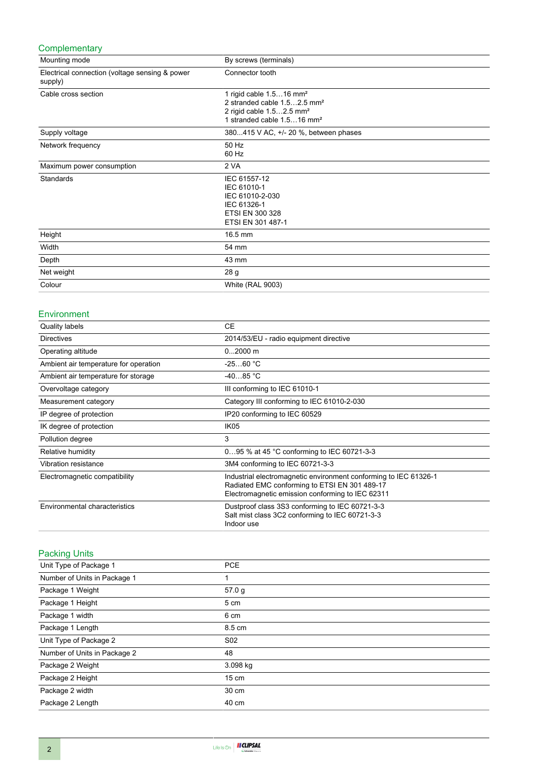#### **Complementary**

| Mounting mode                                             | By screws (terminals)                                                                                                                                              |
|-----------------------------------------------------------|--------------------------------------------------------------------------------------------------------------------------------------------------------------------|
| Electrical connection (voltage sensing & power<br>supply) | Connector tooth                                                                                                                                                    |
| Cable cross section                                       | 1 rigid cable $1.516$ mm <sup>2</sup><br>2 stranded cable 1.52.5 mm <sup>2</sup><br>2 rigid cable 1.52.5 mm <sup>2</sup><br>1 stranded cable 1.516 mm <sup>2</sup> |
| Supply voltage                                            | 380415 V AC, +/- 20 %, between phases                                                                                                                              |
| Network frequency                                         | 50 Hz<br>60 Hz                                                                                                                                                     |
| Maximum power consumption                                 | 2 VA                                                                                                                                                               |
| <b>Standards</b>                                          | IEC 61557-12<br>IEC 61010-1<br>IEC 61010-2-030<br>IEC 61326-1<br><b>ETSI EN 300 328</b><br>ETSI EN 301 487-1                                                       |
| Height                                                    | 16.5 mm                                                                                                                                                            |
| Width                                                     | 54 mm                                                                                                                                                              |
| Depth                                                     | 43 mm                                                                                                                                                              |
| Net weight                                                | 28 g                                                                                                                                                               |
| Colour                                                    | <b>White (RAL 9003)</b>                                                                                                                                            |

#### Environment

| <b>Quality labels</b>                 | <b>CE</b>                                                                                                                                                             |
|---------------------------------------|-----------------------------------------------------------------------------------------------------------------------------------------------------------------------|
| <b>Directives</b>                     | 2014/53/EU - radio equipment directive                                                                                                                                |
| Operating altitude                    | $02000$ m                                                                                                                                                             |
| Ambient air temperature for operation | $-2560 °C$                                                                                                                                                            |
| Ambient air temperature for storage   | $-4085 °C$                                                                                                                                                            |
| Overvoltage category                  | III conforming to IEC 61010-1                                                                                                                                         |
| Measurement category                  | Category III conforming to IEC 61010-2-030                                                                                                                            |
| IP degree of protection               | IP20 conforming to IEC 60529                                                                                                                                          |
| IK degree of protection               | IK <sub>05</sub>                                                                                                                                                      |
| Pollution degree                      | 3                                                                                                                                                                     |
| Relative humidity                     | 095 % at 45 °C conforming to IEC 60721-3-3                                                                                                                            |
| Vibration resistance                  | 3M4 conforming to IEC 60721-3-3                                                                                                                                       |
| Electromagnetic compatibility         | Industrial electromagnetic environment conforming to IEC 61326-1<br>Radiated EMC conforming to ETSI EN 301 489-17<br>Electromagnetic emission conforming to IEC 62311 |
| Environmental characteristics         | Dustproof class 3S3 conforming to IEC 60721-3-3<br>Salt mist class 3C2 conforming to IEC 60721-3-3<br>Indoor use                                                      |

### Packing Units

| Unit Type of Package 1       | <b>PCE</b>      |  |
|------------------------------|-----------------|--|
| Number of Units in Package 1 | 1               |  |
| Package 1 Weight             | 57.0 g          |  |
| Package 1 Height             | 5 cm            |  |
| Package 1 width              | 6 cm            |  |
| Package 1 Length             | 8.5 cm          |  |
| Unit Type of Package 2       | S <sub>02</sub> |  |
| Number of Units in Package 2 | 48              |  |
| Package 2 Weight             | 3.098 kg        |  |
| Package 2 Height             | 15 cm           |  |
| Package 2 width              | 30 cm           |  |
| Package 2 Length             | 40 cm           |  |